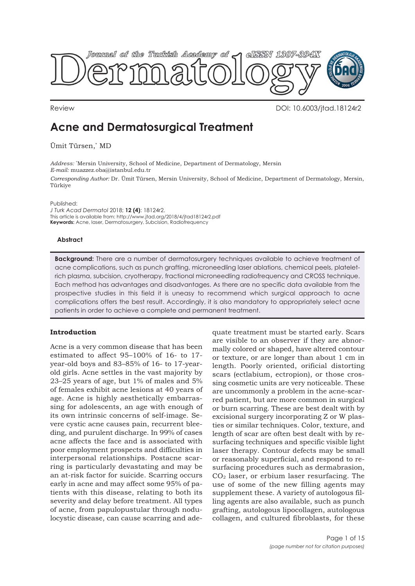

Review DOI: 10.6003/jtad.18124r2

# **Acne and Dermatosurgical Treatment**

Ümit Türsen,\* MD

*Address:* \* Mersin University, School of Medicine, Department of Dermatology, Mersin *E-mail:* muazzez.oba@istanbul.edu.tr

*Corresponding Author:* Dr. Ümit Türsen, Mersin University, School of Medicine, Department of Dermatology, Mersin, Türkiye

Published:

*J Turk Acad Dermatol* 2018; **12 (4)**: 18124r2. This article is available from: http://www.jtad.org/2018/4/jtad18124r2.pdf **Keywords:** Acne, laser, Dermatosurgery, Subcision, Radiofrequency

# **Abstract**

**Background:** There are a number of dermatosurgery techniques available to achieve treatment of acne complications, such as punch grafting, microneedling laser ablations, chemical peels, plateletrich plasma, subcision, cryotherapy, fractional microneedling radiofrequency and CROSS technique. Each method has advantages and disadvantages. As there are no specific data available from the prospective studies in this field it is uneasy to recommend which surgical approach to acne complications offers the best result. Accordingly, it is also mandatory to appropriately select acne patients in order to achieve a complete and permanent treatment.

# **Introduction**

Acne is a very common disease that has been estimated to affect 95–100% of 16- to 17 year-old boys and 83–85% of 16- to 17-yearold girls. Acne settles in the vast majority by 23–25 years of age, but 1% of males and 5% of females exhibit acne lesions at 40 years of age. Acne is highly aesthetically embarrassing for adolescents, an age with enough of its own intrinsic concerns of self-image. Severe cystic acne causes pain, recurrent bleeding, and purulent discharge. In 99% of cases acne affects the face and is associated with poor employment prospects and difficulties in interpersonal relationships. Postacne scarring is particularly devastating and may be an at-risk factor for suicide. Scarring occurs early in acne and may affect some 95% of patients with this disease, relating to both its severity and delay before treatment. All types of acne, from papulopustular through nodulocystic disease, can cause scarring and adequate treatment must be started early. Scars are visible to an observer if they are abnormally colored or shaped, have altered contour or texture, or are longer than about 1 cm in length. Poorly oriented, orificial distorting scars (ectlabium, ectropion), or those crossing cosmetic units are very noticeable. These are uncommonly a problem in the acne-scarred patient, but are more common in surgical or burn scarring. These are best dealt with by excisional surgery incorporating Z or W plasties or similar techniques. Color, texture, and length of scar are often best dealt with by resurfacing techniques and specific visible light laser therapy. Contour defects may be small or reasonably superficial, and respond to resurfacing procedures such as dermabrasion,  $CO<sub>2</sub>$  laser, or erbium laser resurfacing. The use of some of the new filling agents may supplement these. A variety of autologous filling agents are also available, such as punch grafting, autologous lipocollagen, autologous collagen, and cultured fibroblasts, for these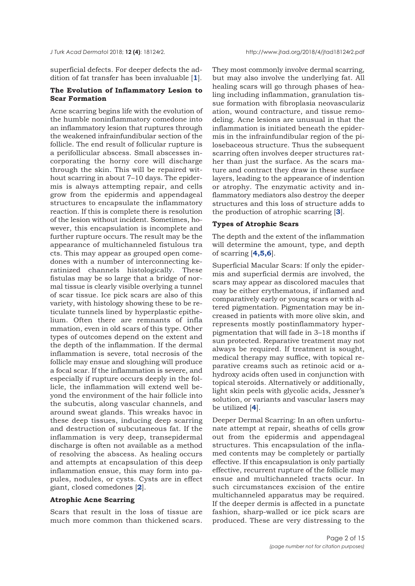superficial defects. For deeper defects the addition of fat transfer has been invaluable [**[1](#page-13-0)**].

# **The Evolution of Inflammatory Lesion to Scar Formation**

Acne scarring begins life with the evolution of the humble noninflammatory comedone into an inflammatory lesion that ruptures through the weakened infrainfundibular section of the follicle. The end result of follicular rupture is a perifollicular abscess. Small abscesses incorporating the horny core will discharge through the skin. This will be repaired without scarring in about 7–10 days. The epidermis is always attempting repair, and cells grow from the epidermis and appendageal structures to encapsulate the inflammatory reaction. If this is complete there is resolution of the lesion without incident. Sometimes, however, this encapsulation is incomplete and further rupture occurs. The result may be the appearance of multichanneled fistulous tra cts. This may appear as grouped open comedones with a number of interconnecting keratinized channels histologically. These fistulas may be so large that a bridge of normal tissue is clearly visible overlying a tunnel of scar tissue. Ice pick scars are also of this variety, with histology showing these to be reticulate tunnels lined by hyperplastic epithelium. Often there are remnants of infla mmation, even in old scars of this type. Other types of outcomes depend on the extent and the depth of the inflammation. If the dermal inflammation is severe, total necrosis of the follicle may ensue and sloughing will produce a focal scar. If the inflammation is severe, and especially if rupture occurs deeply in the follicle, the inflammation will extend well beyond the environment of the hair follicle into the subcutis, along vascular channels, and around sweat glands. This wreaks havoc in these deep tissues, inducing deep scarring and destruction of subcutaneous fat. If the inflammation is very deep, transepidermal discharge is often not available as a method of resolving the abscess. As healing occurs and attempts at encapsulation of this deep inflammation ensue, this may form into papules, nodules, or cysts. Cysts are in effect giant, closed comedones [**[2](#page-13-0)**].

# **Atrophic Acne Scarring**

Scars that result in the loss of tissue are much more common than thickened scars.

They most commonly involve dermal scarring, but may also involve the underlying fat. All healing scars will go through phases of healing including inflammation, granulation tissue formation with fibroplasia neovasculariz ation, wound contracture, and tissue remodeling. Acne lesions are unusual in that the inflammation is initiated beneath the epidermis in the infrainfundibular region of the pilosebaceous structure. Thus the subsequent scarring often involves deeper structures rather than just the surface. As the scars mature and contract they draw in these surface layers, leading to the appearance of indention or atrophy. The enzymatic activity and inflammatory mediators also destroy the deeper structures and this loss of structure adds to the production of atrophic scarring [**[3](#page-13-0)**].

# **Types of Atrophic Scars**

The depth and the extent of the inflammation will determine the amount, type, and depth of scarring [**[4,5,6](#page-13-0)**].

Superficial Macular Scars: If only the epidermis and superficial dermis are involved, the scars may appear as discolored macules that may be either erythematous, if inflamed and comparatively early or young scars or with altered pigmentation. Pigmentation may be increased in patients with more olive skin, and represents mostly postinflammatory hyperpigmentation that will fade in 3–18 months if sun protected. Reparative treatment may not always be required. If treatment is sought, medical therapy may suffice, with topical reparative creams such as retinoic acid or ahydroxy acids often used in conjunction with topical steroids. Alternatively or additionally, light skin peels with glycolic acids, Jessner's solution, or variants and vascular lasers may be utilized [**[4](#page-13-0)**].

Deeper Dermal Scarring: In an often unfortunate attempt at repair, sheaths of cells grow out from the epidermis and appendageal structures. This encapsulation of the inflamed contents may be completely or partially effective. If this encapsulation is only partially effective, recurrent rupture of the follicle may ensue and multichanneled tracts ocur. In such circumstances excision of the entire multichanneled apparatus may be required. If the deeper dermis is affected in a punctate fashion, sharp-walled or ice pick scars are produced. These are very distressing to the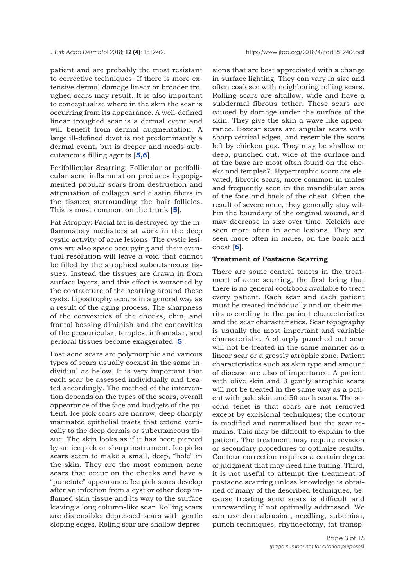patient and are probably the most resistant to corrective techniques. If there is more extensive dermal damage linear or broader troughed scars may result. It is also important to conceptualize where in the skin the scar is occurring from its appearance. A well-defined linear troughed scar is a dermal event and will benefit from dermal augmentation. A large ill-defined divot is not predominantly a dermal event, but is deeper and needs subcutaneous filling agents [**[5,6](#page-13-0)**].

Perifollicular Scarring: Follicular or perifollicular acne inflammation produces hypopigmented papular scars from destruction and attenuation of collagen and elastin fibers in the tissues surrounding the hair follicles. This is most common on the trunk [**[5](#page-13-0)**].

Fat Atrophy: Facial fat is destroyed by the inflammatory mediators at work in the deep cystic activity of acne lesions. The cystic lesions are also space occupying and their eventual resolution will leave a void that cannot be filled by the atrophied subcutaneous tissues. Instead the tissues are drawn in from surface layers, and this effect is worsened by the contracture of the scarring around these cysts. Lipoatrophy occurs in a general way as a result of the aging process. The sharpness of the convexities of the cheeks, chin, and frontal bossing diminish and the concavities of the preauricular, temples, inframalar, and perioral tissues become exaggerated [**5**].

Post acne scars are polymorphic and various types of scars usually coexist in the same individual as below. It is very important that each scar be assessed individually and treated accordingly. The method of the intervention depends on the types of the scars, overall appearance of the face and budgets of the patient. Ice pick scars are narrow, deep sharply marinated epithelial tracts that extend vertically to the deep dermis or subcutaneous tissue. The skin looks as if it has been pierced by an ice pick or sharp instrument. Ice picks scars seem to make a small, deep, "hole" in the skin. They are the most common acne scars that occur on the cheeks and have a "punctate" appearance. Ice pick scars develop after an infection from a cyst or other deep inflamed skin tissue and its way to the surface leaving a long column-like scar. Rolling scars are distensible, depressed scars with gentle sloping edges. Roling scar are shallow depres-

sions that are best appreciated with a change in surface lighting. They can vary in size and often coalesce with neighboring rolling scars. Rolling scars are shallow, wide and have a subdermal fibrous tether. These scars are caused by damage under the surface of the skin. They give the skin a wave-like appearance. Boxcar scars are angular scars with sharp vertical edges, and resemble the scars left by chicken pox. They may be shallow or deep, punched out, wide at the surface and at the base are most often found on the cheeks and temples7. Hypertrophic scars are elevated, fibrotic scars, more common in males and frequently seen in the mandibular area of the face and back of the chest. Often the result of severe acne, they generally stay within the boundary of the original wound, and may decrease in size over time. Keloids are seen more often in acne lesions. They are seen more often in males, on the back and chest [**[6](#page-13-0)**].

### **Treatment of Postacne Scarring**

There are some central tenets in the treatment of acne scarring, the first being that there is no general cookbook available to treat every patient. Each scar and each patient must be treated individually and on their merits according to the patient characteristics and the scar characteristics. Scar topography is usually the most important and variable characteristic. A sharply punched out scar will not be treated in the same manner as a linear scar or a grossly atrophic zone. Patient characteristics such as skin type and amount of disease are also of importance. A patient with olive skin and 3 gently atrophic scars will not be treated in the same way as a patient with pale skin and 50 such scars. The second tenet is that scars are not removed except by excisional techniques; the contour is modified and normalized but the scar remains. This may be difficult to explain to the patient. The treatment may require revision or secondary procedures to optimize results. Contour correction requires a certain degree of judgment that may need fine tuning. Third, it is not useful to attempt the treatment of postacne scarring unless knowledge is obtained of many of the described techniques, because treating acne scars is difficult and unrewarding if not optimally addressed. We can use dermabrasion, needling, subcision, punch techniques, rhytidectomy, fat transp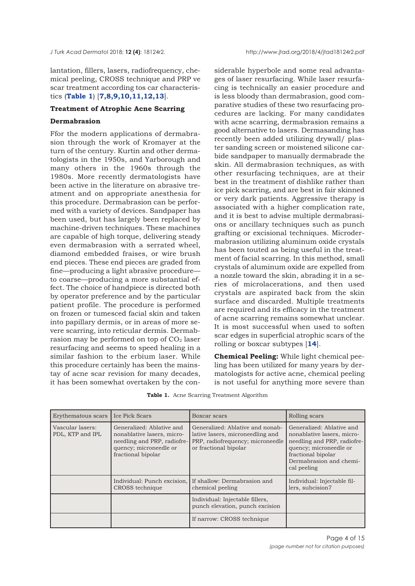lantation, fillers, lasers, radiofrequency, chemical peeling, CROSS technique and PRP ve scar treatment according tos car characteristics (**Table 1**) [**[7,8,9,10,11,12,13](#page-13-0)**].

# **Treatment of Atrophic Acne Scarring**

# **Dermabrasion**

Ffor the modern applications of dermabrasion through the work of Kromayer at the turn of the century. Kurtin and other dermatologists in the 1950s, and Yarborough and many others in the 1960s through the 1980s. More recently dermatologists have been active in the literature on abrasive treatment and on appropriate anesthesia for this procedure. Dermabrasion can be performed with a variety of devices. Sandpaper has been used, but has largely been replaced by machine-driven techniques. These machines are capable of high torque, delivering steady even dermabrasion with a serrated wheel, diamond embedded fraises, or wire brush end pieces. These end pieces are graded from fine—producing a light abrasive procedure to coarse—producing a more substantial effect. The choice of handpiece is directed both by operator preference and by the particular patient profile. The procedure is performed on frozen or tumesced facial skin and taken into papillary dermis, or in areas of more severe scarring, into reticular dermis. Dermabrasion may be performed on top of  $CO<sub>2</sub>$  laser resurfacing and seems to speed healing in a similar fashion to the erbium laser. While this procedure certainly has been the mainstay of acne scar revision for many decades, it has been somewhat overtaken by the considerable hyperbole and some real advantages of laser resurfacing. While laser resurfacing is technically an easier procedure and is less bloody than dermabrasion, good comparative studies of these two resurfacing procedures are lacking. For many candidates with acne scarring, dermabrasion remains a good alternative to lasers. Dermasanding has recently been added utilizing drywall/ plaster sanding screen or moistened silicone carbide sandpaper to manually dermabrade the skin. All dermabrasion techniques, as with other resurfacing techniques, are at their best in the treatment of dishlike rather than ice pick scarring, and are best in fair skinned or very dark patients. Aggressive therapy is associated with a higher complication rate, and it is best to advise multiple dermabrasions or ancillary techniques such as punch grafting or excisional techniques. Microdermabrasion utilizing aluminum oxide crystals has been touted as being useful in the treatment of facial scarring. In this method, small crystals of aluminum oxide are expelled from a nozzle toward the skin, abrading it in a series of microlacerations, and then used crystals are aspirated back from the skin surface and discarded. Multiple treatments are required and its efficacy in the treatment of acne scarring remains somewhat unclear. It is most successful when used to soften scar edges in superficial atrophic scars of the rolling or boxcar subtypes [**[14](#page-13-0)**].

**Chemical Peeling:** While light chemical peeling has been utilized for many years by dermatologists for active acne, chemical peeling is not useful for anything more severe than

| Erythematous scars                   | Ice Pick Scars                                                                                                                         | Boxcar scars                                                                                                                      | Rolling scars                                                                                                                                                                    |
|--------------------------------------|----------------------------------------------------------------------------------------------------------------------------------------|-----------------------------------------------------------------------------------------------------------------------------------|----------------------------------------------------------------------------------------------------------------------------------------------------------------------------------|
| Vascular lasers:<br>PDL, KTP and IPL | Generalized: Ablative and<br>nonablative lasers, micro-<br>needling and PRP, radiofre-<br>quency; microneedle or<br>fractional bipolar | Generalized: Ablative and nonab-<br>lative lasers, microneedling and<br>PRP, radiofrequency; microneedle<br>or fractional bipolar | Generalized: Ablative and<br>nonablative lasers, micro-<br>needling and PRP, radiofre-<br>quency; microneedle or<br>fractional bipolar<br>Dermabrasion and chemi-<br>cal peeling |
|                                      | Individual: Punch excision,<br>CROSS technique                                                                                         | If shallow: Dermabrasion and<br>chemical peeling                                                                                  | Individual: Injectable fil-<br>lers, subcision7                                                                                                                                  |
|                                      |                                                                                                                                        | Individual: Injectable fillers,<br>punch elevation, punch excision                                                                |                                                                                                                                                                                  |
|                                      |                                                                                                                                        | If narrow: CROSS technique                                                                                                        |                                                                                                                                                                                  |

**Table 1.** Acne Scarring Treatment Algorithm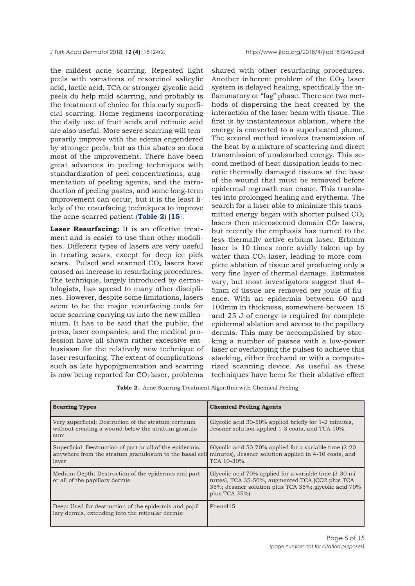the mildest acne scarring. Repeated light peels with variations of resorcinol salicylic acid, lactic acid, TCA or stronger glycolic acid peels do help mild scarring, and probably is the treatment of choice for this early superficial scarring. Home regimens incorporating the daily use of fruit acids and retinoic acid are also useful. More severe scarring will temporarily improve with the edema engendered by stronger peels, but as this abates so does most of the improvement. There have been great advances in peeling techniques with standardization of peel concentrations, augmentation of peeling agents, and the introduction of peeling pastes, and some long-term improvement can occur, but it is the least likely of the resurfacing techniques to improve the acne-scarred patient (**Table 2**) [**[15](#page-13-0)**].

**Laser Resurfacing:** It is an effective treatment and is easier to use than other modalities. Different types of lasers are very useful in treating scars, except for deep ice pick scars. Pulsed and scanned  $CO<sub>2</sub>$  lasers have caused an increase in resurfacing procedures. The technique, largely introduced by dermatologists, has spread to many other disciplines. However, despite some limitations, lasers seem to be the major resurfacing tools for acne scarring carrying us into the new millennium. It has to be said that the public, the press, laser companies, and the medical profession have all shown rather excessive enthusiasm for the relatively new technique of laser resurfacing. The extent of complications such as late hypopigmentation and scarring is now being reported for  $CO<sub>2</sub>$  laser, problems

shared with other resurfacing procedures. Another inherent problem of the  $CO<sub>2</sub>$  laser system is delayed healing, specifically the inflammatory or "lag" phase. There are two methods of dispersing the heat created by the interaction of the laser beam with tissue. The first is by instantaneous ablation, where the energy is converted to a superheated plume. The second method involves transmission of the heat by a mixture of scattering and direct transmission of unabsorbed energy. This second method of heat dissipation leads to necrotic thermally damaged tissues at the base of the wound that must be removed before epidermal regrowth can ensue. This translates into prolonged healing and erythema. The search for a laser able to minimize this transmitted energy began with shorter pulsed CO2 lasers then microsecond domain  $CO<sub>2</sub>$  lasers, but recently the emphasis has turned to the less thermally active erbium laser. Erbium laser is 10 times more avidly taken up by water than  $CO<sub>2</sub>$  laser, leading to more complete ablation of tissue and producing only a very fine layer of thermal damage. Estimates vary, but most investigators suggest that 4– 5mm of tissue are removed per joule of fluence. With an epidermis between 60 and 100mm in thickness, somewhere between 15 and 25 J of energy is required for complete epidermal ablation and access to the papillary dermis. This may be accomplished by stacking a number of passes with a low-power laser or overlapping the pulses to achieve this stacking, either freehand or with a computerized scanning device. As useful as these techniques have been for their ablative effect

**Table 2.** Acne Scarring Treatment Algorithm with Chemical Peeling

| <b>Scarring Types</b>                                                                                                        | <b>Chemical Peeling Agents</b>                                                                                                                                                        |
|------------------------------------------------------------------------------------------------------------------------------|---------------------------------------------------------------------------------------------------------------------------------------------------------------------------------------|
| Very superficial: Destrucion of the stratum corneum<br>without creating a wound below the stratum granulo-<br>sum            | Glycolic acid 30-50% applied briefly for 1-2 minutes,<br>Jessner solution applied 1-3 coats, and TCA 10%.                                                                             |
| Superficial: Destruction of part or all of the epidermis,<br>anywhere from the stratum granulosum to the basal cell<br>layer | Glycolic acid 50-70% applied for a variable time $(2-20)$<br>minutes), Jessner solution applied in 4-10 coats, and<br>TCA 10-30%.                                                     |
| Medium Depth: Destruction of the epidermis and part<br>or all of the papillary dermis                                        | Glycolic acid 70% applied for a variable time (3-30 mi-<br>nutes), TCA 35-50%, augmented TCA (CO2 plus TCA<br>35%; Jessner solution plus TCA 35%; glycolic acid 70%<br>plus TCA 35%). |
| Deep: Used for destruction of the epidermis and papil-<br>lary dermis, extending into the reticular dermis:                  | Phenol <sub>15</sub>                                                                                                                                                                  |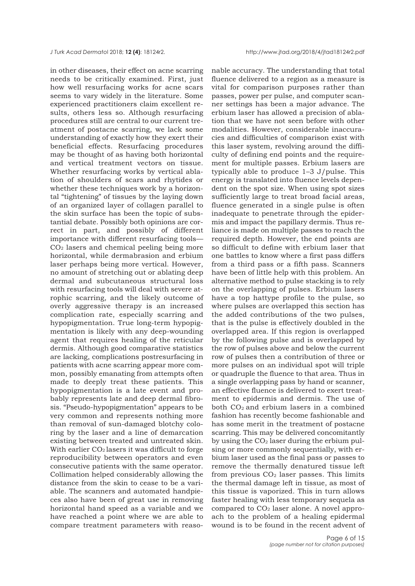in other diseases, their effect on acne scarring needs to be critically examined. First, just how well resurfacing works for acne scars seems to vary widely in the literature. Some experienced practitioners claim excellent results, others less so. Although resurfacing procedures still are central to our current treatment of postacne scarring, we lack some understanding of exactly how they exert their beneficial effects. Resurfacing procedures may be thought of as having both horizontal and vertical treatment vectors on tissue. Whether resurfacing works by vertical ablation of shoulders of scars and rhytides or whether these techniques work by a horizontal "tightening" of tissues by the laying down of an organized layer of collagen parallel to the skin surface has been the topic of substantial debate. Possibly both opinions are correct in part, and possibly of different importance with different resurfacing tools— CO2 lasers and chemical peeling being more horizontal, while dermabrasion and erbium laser perhaps being more vertical. However, no amount of stretching out or ablating deep dermal and subcutaneous structural loss with resurfacing tools will deal with severe atrophic scarring, and the likely outcome of overly aggressive therapy is an increased complication rate, especially scarring and hypopigmentation. True long-term hypopigmentation is likely with any deep-wounding agent that requires healing of the reticular dermis. Although good comparative statistics are lacking, complications postresurfacing in patients with acne scarring appear more common, possibly emanating from attempts often made to deeply treat these patients. This hypopigmentation is a late event and probably represents late and deep dermal fibrosis. "Pseudo-hypopigmentation" appears to be very common and represents nothing more than removal of sun-damaged blotchy coloring by the laser and a line of demarcation existing between treated and untreated skin. With earlier  $CO<sub>2</sub>$  lasers it was difficult to forge reproducibility between operators and even consecutive patients with the same operator. Collimation helped considerably allowing the distance from the skin to cease to be a variable. The scanners and automated handpieces also have been of great use in removing horizontal hand speed as a variable and we have reached a point where we are able to compare treatment parameters with reasonable accuracy. The understanding that total fluence delivered to a region as a measure is vital for comparison purposes rather than passes, power per pulse, and computer scanner settings has been a major advance. The erbium laser has allowed a precision of ablation that we have not seen before with other modalities. However, considerable inaccuracies and difficulties of comparison exist with this laser system, revolving around the difficulty of defining end points and the requirement for multiple passes. Erbium lasers are typically able to produce 1–3 J/pulse. This energy is translated into fluence levels dependent on the spot size. When using spot sizes sufficiently large to treat broad facial areas, fluence generated in a single pulse is often inadequate to penetrate through the epidermis and impact the papillary dermis. Thus reliance is made on multiple passes to reach the required depth. However, the end points are so difficult to define with erbium laser that one battles to know where a first pass differs from a third pass or a fifth pass. Scanners have been of little help with this problem. An alternative method to pulse stacking is to rely on the overlapping of pulses. Erbium lasers have a top hattype profile to the pulse, so where pulses are overlapped this section has the added contributions of the two pulses, that is the pulse is effectively doubled in the overlapped area. If this region is overlapped by the following pulse and is overlapped by the row of pulses above and below the current row of pulses then a contribution of three or more pulses on an individual spot will triple or quadruple the fluence to that area. Thus in a single overlapping pass by hand or scanner, an effective fluence is delivered to exert treatment to epidermis and dermis. The use of both CO2 and erbium lasers in a combined fashion has recently become fashionable and has some merit in the treatment of postacne scarring. This may be delivered concomitantly by using the  $CO<sub>2</sub>$  laser during the erbium pulsing or more commonly sequentially, with erbium laser used as the final pass or passes to remove the thermally denatured tissue left from previous  $CO<sub>2</sub>$  laser passes. This limits the thermal damage left in tissue, as most of this tissue is vaporized. This in turn allows faster healing with less temporary sequela as compared to  $CO<sub>2</sub>$  laser alone. A novel approach to the problem of a healing epidermal wound is to be found in the recent advent of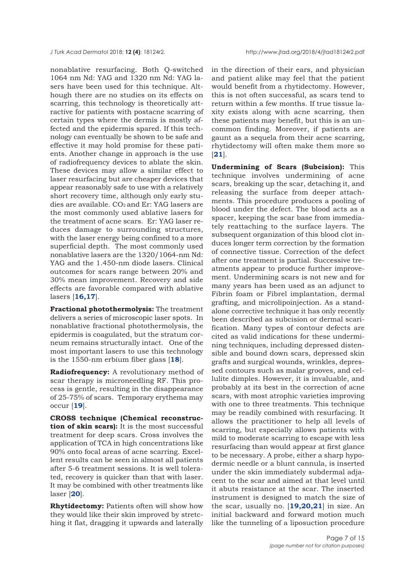nonablative resurfacing. Both Q-switched 1064 nm Nd: YAG and 1320 nm Nd: YAG lasers have been used for this technique. Although there are no studies on its effects on scarring, this technology is theoretically attractive for patients with postacne scarring of certain types where the dermis is mostly affected and the epidermis spared. If this technology can eventually be shown to be safe and effective it may hold promise for these patients. Another change in approach is the use of radiofrequency devices to ablate the skin. These devices may allow a similar effect to laser resurfacing but are cheaper devices that appear reasonably safe to use with a relatively short recovery time, although only early studies are available.  $CO<sub>2</sub>$  and Er: YAG lasers are the most commonly used ablative lasers for the treatment of acne scars. Er: YAG laser reduces damage to surrounding structures, with the laser energy being confined to a more superficial depth. The most commonly used nonablative lasers are the 1320/1064-nm Nd: YAG and the 1.450-nm diode lasers. Clinical outcomes for scars range between 20% and 30% mean improvement. Recovery and side effects are favorable compared with ablative lasers [**[16,17](#page-13-0)**].

**Fractional photothermolysis:** The treatment delivers a series of microscopic laser spots. In nonablative fractional photothermolysis, the epidermis is coagulated, but the stratum corneum remains structurally intact. One of the most important lasers to use this technology is the 1550-nm erbium fiber glass [**[18](#page-13-0)**].

**Radiofrequency:** A revolutionary method of scar therapy is microneedling RF. This process is gentle, resulting in the disappearance of 25-75% of scars. Temporary erythema may occur [**[19](#page-13-0)**].

**CROSS technique (Chemical reconstruction of skin scars):** It is the most successful treatment for deep scars. Cross involves the application of TCA in high concentrations like 90% onto focal areas of acne scarring. Excellent results can be seen in almost all patients after 5-6 treatment sessions. It is well tolerated, recovery is quicker than that with laser. It may be combined with other treatments like laser [**[20](#page-13-0)**].

**Rhytidectomy:** Patients often will show how they would like their skin improved by stretching it flat, dragging it upwards and laterally

in the direction of their ears, and physician and patient alike may feel that the patient would benefit from a rhytidectomy. However, this is not often successful, as scars tend to return within a few months. If true tissue laxity exists along with acne scarring, then these patients may benefit, but this is an uncommon finding. Moreover, if patients are gaunt as a sequela from their acne scarring, rhytidectomy will often make them more so [**[21](#page-13-0)**].

**Undermining of Scars (Subcision):** This technique involves undermining of acne scars, breaking up the scar, detaching it, and releasing the surface from deeper attachments. This procedure produces a pooling of blood under the defect. The blood acts as a spacer, keeping the scar base from immediately reattaching to the surface layers. The subsequent organization of this blood clot induces longer term correction by the formation of connective tissue. Correction of the defect after one treatment is partial. Successive treatments appear to produce further improvement. Undermining scars is not new and for many years has been used as an adjunct to Fibrin foam or Fibrel implantation, dermal grafting, and microlipoinjection. As a standalone corrective technique it has only recently been described as subcision or dermal scarification. Many types of contour defects are cited as valid indications for these undermining techniques, including depressed distensible and bound down scars, depressed skin grafts and surgical wounds, wrinkles, depressed contours such as malar grooves, and cellulite dimples. However, it is invaluable, and probably at its best in the correction of acne scars, with most atrophic varieties improving with one to three treatments. This technique may be readily combined with resurfacing. It allows the practitioner to help all levels of scarring, but especially allows patients with mild to moderate scarring to escape with less resurfacing than would appear at first glance to be necessary. A probe, either a sharp hypodermic needle or a blunt cannula, is inserted under the skin immediately subdermal adjacent to the scar and aimed at that level until it abuts resistance at the scar. The inserted instrument is designed to match the size of the scar, usually no. [**[19,20,21](#page-13-0)**] in size. An initial backward and forward motion much like the tunneling of a liposuction procedure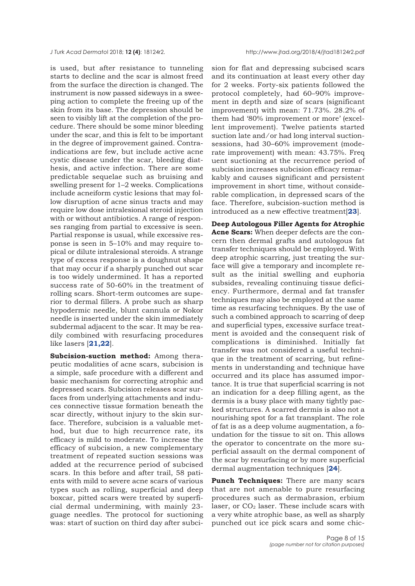is used, but after resistance to tunneling starts to decline and the scar is almost freed from the surface the direction is changed. The instrument is now passed sideways in a sweeping action to complete the freeing up of the skin from its base. The depression should be seen to visibly lift at the completion of the procedure. There should be some minor bleeding under the scar, and this is felt to be important in the degree of improvement gained. Contraindications are few, but include active acne cystic disease under the scar, bleeding diathesis, and active infection. There are some predictable sequelae such as bruising and swelling present for 1–2 weeks. Complications include acneiform cystic lesions that may follow disruption of acne sinus tracts and may require low dose intralesional steroid injection with or without antibiotics. A range of responses ranging from partial to excessive is seen. Partial response is usual, while excessive response is seen in 5–10% and may require topical or dilute intralesional steroids. A strange type of excess response is a doughnut shape that may occur if a sharply punched out scar is too widely undermined. It has a reported success rate of 50-60% in the treatment of rolling scars. Short-term outcomes are superior to dermal fillers. A probe such as sharp hypodermic needle, blunt cannula or Nokor needle is inserted under the skin immediately subdermal adjacent to the scar. It may be readily combined with resurfacing procedures like lasers [**[21,22](#page-13-0)**].

**Subcision-suction method:** Among therapeutic modalities of acne scars, subcision is a simple, safe procedure with a different and basic mechanism for correcting atrophic and depressed scars. Subcision releases scar surfaces from underlying attachments and induces connective tissue formation beneath the scar directly, without injury to the skin surface. Therefore, subcision is a valuable method, but due to high recurrence rate, its efficacy is mild to moderate. To increase the efficacy of subcision, a new complementary treatment of repeated suction sessions was added at the recurrence period of subcised scars. In this before and after trail, 58 patients with mild to severe acne scars of various types such as rolling, superficial and deep boxcar, pitted scars were treated by superficial dermal undermining, with mainly 23 guage needles. The protocol for suctioning was: start of suction on third day after subci-

sion for flat and depressing subcised scars and its continuation at least every other day for 2 weeks. Forty-six patients followed the protocol completely, had 60–90% improvement in depth and size of scars (significant improvement) with mean: 71.73%. 28.2% of them had '80% improvement or more' (excellent improvement). Twelve patients started suction late and/or had long interval suctionsessions, had 30–60% improvement (moderate improvement) with mean: 43.75%. Freq uent suctioning at the recurrence period of subcision increases subcision efficacy remarkably and causes significant and persistent improvement in short time, without considerable complication, in depressed scars of the face. Therefore, subcision-suction method is introduced as a new effective treatment[**[23](#page-14-0)**].

**Deep Autologous Filler Agents for Atrophic Acne Scars:** When deeper defects are the concern then dermal grafts and autologous fat transfer techniques should be employed. With deep atrophic scarring, just treating the surface will give a temporary and incomplete result as the initial swelling and euphoria subsides, revealing continuing tissue deficiency. Furthermore, dermal and fat transfer techniques may also be employed at the same time as resurfacing techniques. By the use of such a combined approach to scarring of deep and superficial types, excessive surface treatment is avoided and the consequent risk of complications is diminished. Initially fat transfer was not considered a useful technique in the treatment of scarring, but refinements in understanding and technique have occurred and its place has assumed importance. It is true that superficial scarring is not an indication for a deep filling agent, as the dermis is a busy place with many tightly packed structures. A scarred dermis is also not a nourishing spot for a fat transplant. The role of fat is as a deep volume augmentation, a foundation for the tissue to sit on. This allows the operator to concentrate on the more superficial assault on the dermal component of the scar by resurfacing or by more superficial dermal augmentation techniques [**[24](#page-13-0)**].

**Punch Techniques:** There are many scars that are not amenable to pure resurfacing procedures such as dermabrasion, erbium laser, or CO<sub>2</sub> laser. These include scars with a very white atrophic base, as well as sharply punched out ice pick scars and some chic-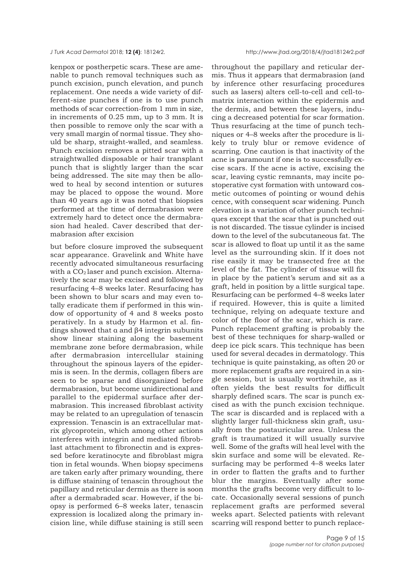#### *J Turk Acad Dermato*l 2018; **12 (4)**: 18124r2. http://www.jtad.org/2018/4/jtad18124r2.pdf

kenpox or postherpetic scars. These are amenable to punch removal techniques such as punch excision, punch elevation, and punch replacement. One needs a wide variety of different-size punches if one is to use punch methods of scar correction-from 1 mm in size, in increments of 0.25 mm, up to 3 mm. It is then possible to remove only the scar with a very small margin of normal tissue. They should be sharp, straight-walled, and seamless. Punch excision removes a pitted scar with a straightwalled disposable or hair transplant punch that is slightly larger than the scar being addressed. The site may then be allowed to heal by second intention or sutures may be placed to oppose the wound. More than 40 years ago it was noted that biopsies performed at the time of dermabrasion were extremely hard to detect once the dermabrasion had healed. Caver described that dermabrasion after excision

but before closure improved the subsequent scar appearance. Gravelink and White have recently advocated simultaneous resurfacing with a CO<sub>2</sub> laser and punch excision. Alternatively the scar may be excised and followed by resurfacing 4–8 weeks later. Resurfacing has been shown to blur scars and may even totally eradicate them if performed in this window of opportunity of 4 and 8 weeks posto peratively. In a study by Harmon et al. findings showed that α and β4 integrin subunits show linear staining along the basement membrane zone before dermabrasion, while after dermabrasion intercellular staining throughout the spinous layers of the epidermis is seen. In the dermis, collagen fibers are seen to be sparse and disorganized before dermabrasion, but become unidirectional and parallel to the epidermal surface after dermabrasion. This increased fibroblast activity may be related to an upregulation of tenascin expression. Tenascin is an extracellular matrix glycoprotein, which among other actions interferes with integrin and mediated fibroblast attachment to fibronectin and is expressed before keratinocyte and fibroblast migra tion in fetal wounds. When biopsy specimens are taken early after primary wounding, there is diffuse staining of tenascin throughout the papillary and reticular dermis as there is soon after a dermabraded scar. However, if the biopsy is performed 6–8 weeks later, tenascin expression is localized along the primary incision line, while diffuse staining is still seen

throughout the papillary and reticular dermis. Thus it appears that dermabrasion (and by inference other resurfacing procedures such as lasers) alters cell-to-cell and cell-tomatrix interaction within the epidermis and the dermis, and between these layers, inducing a decreased potential for scar formation. Thus resurfacing at the time of punch techniques or 4–8 weeks after the procedure is likely to truly blur or remove evidence of scarring. One caution is that inactivity of the acne is paramount if one is to successfully excise scars. If the acne is active, excising the scar, leaving cystic remnants, may incite postoperative cyst formation with untoward cosmetic outcomes of pointing or wound dehis cence, with consequent scar widening. Punch elevation is a variation of other punch techniques except that the scar that is punched out is not discarded. The tissue cylinder is incised down to the level of the subcutaneous fat. The scar is allowed to float up until it as the same level as the surrounding skin. If it does not rise easily it may be transected free at the level of the fat. The cylinder of tissue will fix in place by the patient's serum and sit as a graft, held in position by a little surgical tape. Resurfacing can be performed 4–8 weeks later if required. However, this is quite a limited technique, relying on adequate texture and color of the floor of the scar, which is rare. Punch replacement grafting is probably the best of these techniques for sharp-walled or deep ice pick scars. This technique has been used for several decades in dermatology. This technique is quite painstaking, as often 20 or more replacement grafts are required in a single session, but is usually worthwhile, as it often yields the best results for difficult sharply defined scars. The scar is punch excised as with the punch excision technique. The scar is discarded and is replaced with a slightly larger full-thickness skin graft, usually from the postauricular area. Unless the graft is traumatized it will usually survive well. Some of the grafts will heal level with the skin surface and some will be elevated. Resurfacing may be performed 4–8 weeks later in order to flatten the grafts and to further blur the margins. Eventually after some months the grafts become very difficult to locate. Occasionally several sessions of punch replacement grafts are performed several weeks apart. Selected patients with relevant scarring will respond better to punch replace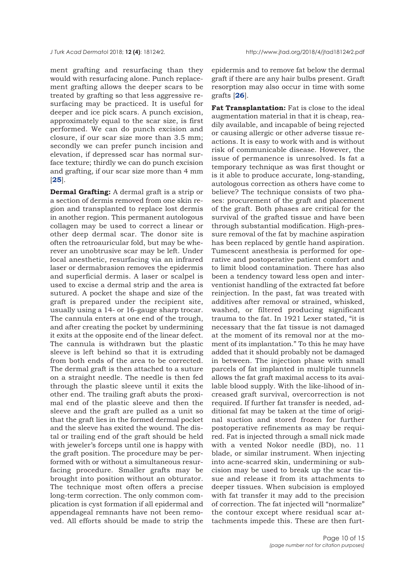ment grafting and resurfacing than they would with resurfacing alone. Punch replacement grafting allows the deeper scars to be treated by grafting so that less aggressive resurfacing may be practiced. It is useful for deeper and ice pick scars. A punch excision, approximately equal to the scar size, is first performed. We can do punch excision and closure, if our scar size more than 3.5 mm; secondly we can prefer punch incision and elevation, if depressed scar has normal surface texture; thirdly we can do punch excision and grafting, if our scar size more than 4 mm [**[25](#page-13-0)**].

**Dermal Grafting:** A dermal graft is a strip or a section of dermis removed from one skin region and transplanted to replace lost dermis in another region. This permanent autologous collagen may be used to correct a linear or other deep dermal scar. The donor site is often the retroauricular fold, but may be wherever an unobtrusive scar may be left. Under local anesthetic, resurfacing via an infrared laser or dermabrasion removes the epidermis and superficial dermis. A laser or scalpel is used to excise a dermal strip and the area is sutured. A pocket the shape and size of the graft is prepared under the recipient site, usually using a 14- or 16-gauge sharp trocar. The cannula enters at one end of the trough, and after creating the pocket by undermining it exits at the opposite end of the linear defect. The cannula is withdrawn but the plastic sleeve is left behind so that it is extruding from both ends of the area to be corrected. The dermal graft is then attached to a suture on a straight needle. The needle is then fed through the plastic sleeve until it exits the other end. The trailing graft abuts the proximal end of the plastic sleeve and then the sleeve and the graft are pulled as a unit so that the graft lies in the formed dermal pocket and the sleeve has exited the wound. The distal or trailing end of the graft should be held with jeweler's forceps until one is happy with the graft position. The procedure may be performed with or without a simultaneous resurfacing procedure. Smaller grafts may be brought into position without an obturator. The technique most often offers a precise long-term correction. The only common complication is cyst formation if all epidermal and appendageal remnants have not been removed. All efforts should be made to strip the

epidermis and to remove fat below the dermal graft if there are any hair bulbs present. Graft resorption may also occur in time with some grafts [**[26](#page-13-0)**].

**Fat Transplantation:** Fat is close to the ideal augmentation material in that it is cheap, readily available, and incapable of being rejected or causing allergic or other adverse tissue reactions. It is easy to work with and is without risk of communicable disease. However, the issue of permanence is unresolved. Is fat a temporary technique as was first thought or is it able to produce accurate, long-standing, autologous correction as others have come to believe? The technique consists of two phases: procurement of the graft and placement of the graft. Both phases are critical for the survival of the grafted tissue and have been through substantial modification. High-pressure removal of the fat by machine aspiration has been replaced by gentle hand aspiration. Tumescent anesthesia is performed for operative and postoperative patient comfort and to limit blood contamination. There has also been a tendency toward less open and interventionist handling of the extracted fat before reinjection. In the past, fat was treated with additives after removal or strained, whisked, washed, or filtered producing significant trauma to the fat. In 1921 Lexer stated, "it is necessary that the fat tissue is not damaged at the moment of its removal nor at the moment of its implantation." To this he may have added that it should probably not be damaged in between. The injection phase with small parcels of fat implanted in multiple tunnels allows the fat graft maximal access to its available blood supply. With the like-lihood of increased graft survival, overcorrection is not required. If further fat transfer is needed, additional fat may be taken at the time of original suction and stored frozen for further postoperative refinements as may be required. Fat is injected through a small nick made with a vented Nokor needle (BD), no. 11 blade, or similar instrument. When injecting into acne-scarred skin, undermining or subcision may be used to break up the scar tissue and release it from its attachments to deeper tissues. When subcision is employed with fat transfer it may add to the precision of correction. The fat injected will "normalize" the contour except where residual scar attachments impede this. These are then furt-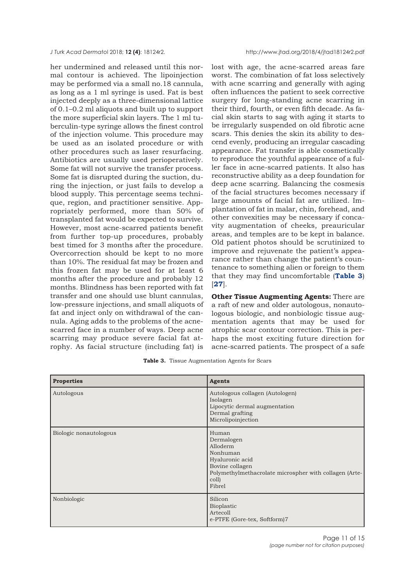her undermined and released until this normal contour is achieved. The lipoinjection may be performed via a small no.18 cannula, as long as a 1 ml syringe is used. Fat is best injected deeply as a three-dimensional lattice of 0.1–0.2 ml aliquots and built up to support the more superficial skin layers. The 1 ml tuberculin-type syringe allows the finest control of the injection volume. This procedure may be used as an isolated procedure or with other procedures such as laser resurfacing. Antibiotics are usually used perioperatively. Some fat will not survive the transfer process. Some fat is disrupted during the suction, during the injection, or just fails to develop a blood supply. This percentage seems technique, region, and practitioner sensitive. Appropriately performed, more than 50% of transplanted fat would be expected to survive. However, most acne-scarred patients benefit from further top-up procedures, probably best timed for 3 months after the procedure. Overcorrection should be kept to no more than 10%. The residual fat may be frozen and this frozen fat may be used for at least 6 months after the procedure and probably 12 months. Blindness has been reported with fat transfer and one should use blunt cannulas, low-pressure injections, and small aliquots of fat and inject only on withdrawal of the cannula. Aging adds to the problems of the acnescarred face in a number of ways. Deep acne scarring may produce severe facial fat atrophy. As facial structure (including fat) is

lost with age, the acne-scarred areas fare worst. The combination of fat loss selectively with acne scarring and generally with aging often influences the patient to seek corrective surgery for long-standing acne scarring in their third, fourth, or even fifth decade. As facial skin starts to sag with aging it starts to be irregularly suspended on old fibrotic acne scars. This denies the skin its ability to descend evenly, producing an irregular cascading appearance. Fat transfer is able cosmetically to reproduce the youthful appearance of a fuller face in acne-scarred patients. It also has reconstructive ability as a deep foundation for deep acne scarring. Balancing the cosmesis of the facial structures becomes necessary if large amounts of facial fat are utilized. Implantation of fat in malar, chin, forehead, and other convexities may be necessary if concavity augmentation of cheeks, preauricular areas, and temples are to be kept in balance. Old patient photos should be scrutinized to improve and rejuvenate the patient's appearance rather than change the patient's countenance to something alien or foreign to them that they may find uncomfortable (**Table 3**) [**[27](#page-13-0)**].

**Other Tissue Augmenting Agents:** There are a raft of new and older autologous, nonautologous biologic, and nonbiologic tissue augmentation agents that may be used for atrophic scar contour correction. This is perhaps the most exciting future direction for acne-scarred patients. The prospect of a safe

| <b>Properties</b>      | <b>Agents</b>                                                                                                                                                  |
|------------------------|----------------------------------------------------------------------------------------------------------------------------------------------------------------|
| Autologous             | Autologous collagen (Autologen)<br>Isolagen<br>Lipocytic dermal augmentation<br>Dermal grafting<br>Microlipoinjection                                          |
| Biologic nonautologous | Human<br>Dermalogen<br>Alloderm<br>Nonhuman<br>Hyaluronic acid<br>Bovine collagen<br>Polymethylmethacrolate microspher with collagen (Arte-<br>coll)<br>Fibrel |
| Nonbiologic            | Silicon<br>Bioplastic<br>Artecoll<br>e-PTFE (Gore-tex, Softform)7                                                                                              |

**Table 3.** Tissue Augmentation Agents for Scars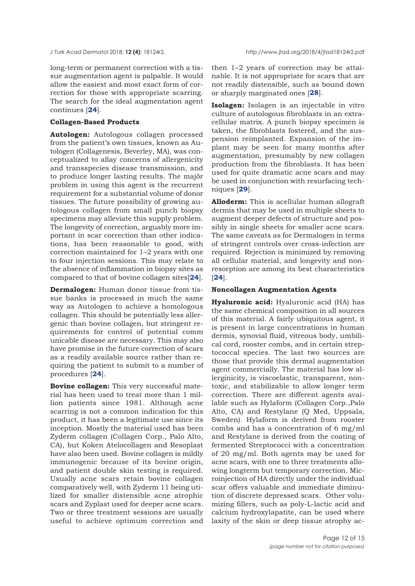long-term or permanent correction with a tissue augmentation agent is palpable. It would allow the easiest and most exact form of correction for those with appropriate scarring. The search for the ideal augmentation agent continues [**[24](#page-13-0)**].

# **Collagen-Based Products**

**Autologen:** Autologous collagen processed from the patient's own tissues, known as Autologen (Collagenesis, Beverley, MA), was conceptualized to allay concerns of allergenicity and transspecies disease transmission, and to produce longer lasting results. The majör problem in using this agent is the recurrent requirement for a substantial volume of donor tissues. The future possibility of growing autologous collagen from small punch biopsy specimens may alleviate this supply problem. The longevity of correction, arguably more important in scar correction than other indications, has been reasonable to good, with correction maintained for 1–2 years with one to four injection sessions. This may relate to the absence of inflammation in biopsy sites as compared to that of bovine collagen sites[**24**].

**Dermalogen:** Human donor tissue from tissue banks is processed in much the same way as Autologen to achieve a homologous collagen. This should be potentially less allergenic than bovine collagen, but stringent requirements for control of potential comm unicable disease are necessary. This may also have promise in the future correction of scars as a readily available source rather than requiring the patient to submit to a number of procedures [**24**].

**Bovine collagen:** This very successful material has been used to treat more than 1 million patients since 1981. Although acne scarring is not a common indication for this product, it has been a legitimate use since its inception. Mostly the material used has been Zyderm collagen (Collagen Corp., Palo Alto, CA), but Koken Atelocollagen and Resoplast have also been used. Bovine collagen is mildly immunogenic because of its bovine origin, and patient double skin testing is required. Usually acne scars retain bovine collagen comparatively well, with Zyderm 11 being utilized for smaller distensible acne atrophic scars and Zyplast used for deeper acne scars. Two or three treatment sessions are usually useful to achieve optimum correction and

then 1–2 years of correction may be attainable. It is not appropriate for scars that are not readily distensible, such as bound down or sharply marginated ones [**[28](#page-14-0)**].

**Isolagen:** Isolagen is an injectable in vitro culture of autologous fibroblasts in an extracellular matrix. A punch biopsy specimen is taken, the fibroblasts fostered, and the suspension reimplanted. Expansion of the implant may be seen for many months after augmentation, presumably by new collagen production from the fibroblasts. It has been used for quite dramatic acne scars and may be used in conjunction with resurfacing techniques [**[29](#page-14-0)**].

**Alloderm:** This is acellular human allograft dermis that may be used in multiple sheets to augment deeper defects of structure and possibly in single sheets for smaller acne scars. The same caveats as for Dermalogen in terms of stringent controls over cross-infection are required. Rejection is minimized by removing all cellular material, and longevity and nonresorption are among its best characteristics [**[24](#page-14-0)**].

### **Noncollagen Augmentation Agents**

**Hyaluronic acid:** Hyaluronic acid (HA) has the same chemical composition in all sources of this material. A fairly ubiquitous agent, it is present in large concentrations in human dermis, synovial fluid, vitreous body, umbilical cord, rooster combs, and in certain streptococcal species. The last two sources are those that provide this dermal augmentation agent commercially. The material has low allerginicity, is viscoelastic, transparent, nontoxic, and stabilizable to allow longer term correction. There are different agents available such as Hylaform (Collagen Corp.,Palo Alto, CA) and Restylane (Q Med, Uppsala, Sweden). Hylaform is derived from rooster combs and has a concentration of 6 mg/ml and Restylane is derived from the coating of fermented Streptococci with a concentration of 20 mg/ml. Both agents may be used for acne scars, with one to three treatments allowing longterm but temporary correction. Microinjection of HA directly under the individual scar offers valuable and immediate diminution of discrete depressed scars. Other volumizing fillers, such as poly-L-lactic acid and calcium hydroxylapatite, can be used where laxity of the skin or deep tissue atrophy ac-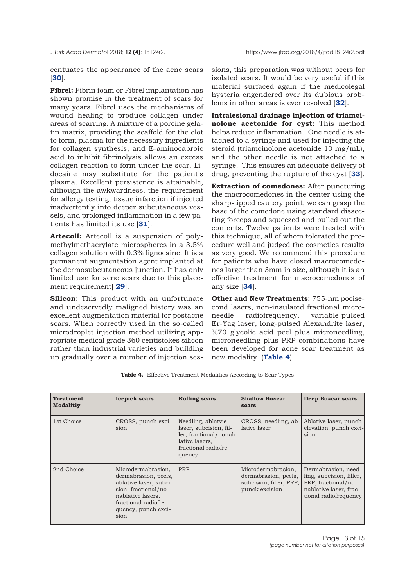centuates the appearance of the acne scars [**[30](#page-14-0)**].

**Fibrel:** Fibrin foam or Fibrel implantation has shown promise in the treatment of scars for many years. Fibrel uses the mechanisms of wound healing to produce collagen under areas of scarring. A mixture of a porcine gelatin matrix, providing the scaffold for the clot to form, plasma for the necessary ingredients for collagen synthesis, and E-aminocaproic acid to inhibit fibrinolysis allows an excess collagen reaction to form under the scar. Lidocaine may substitute for the patient's plasma. Excellent persistence is attainable, although the awkwardness, the requirement for allergy testing, tissue infarction if injected inadvertently into deeper subcutaneous vessels, and prolonged inflammation in a few patients has limited its use [**[31](#page-14-0)**].

**Artecoll:** Artecoll is a suspension of polymethylmethacrylate microspheres in a 3.5% collagen solution with 0.3% lignocaine. It is a permanent augmentation agent implanted at the dermosubcutaneous junction. It has only limited use for acne scars due to this placement requirement[ **[29](#page-14-0)**].

**Silicon:** This product with an unfortunate and undeservedly maligned history was an excellent augmentation material for postacne scars. When correctly used in the so-called microdroplet injection method utilizing appropriate medical grade 360 centistokes silicon rather than industrial varieties and building up gradually over a number of injection ses-

sions, this preparation was without peers for isolated scars. It would be very useful if this material surfaced again if the medicolegal hysteria engendered over its dubious problems in other areas is ever resolved [**[32](#page-14-0)**].

**Intralesional drainage injection of triamcinolone acetonide for cyst:** This method helps reduce inflammation. One needle is attached to a syringe and used for injecting the steroid (triamcinolone acetonide 10 mg/mL), and the other needle is not attached to a syringe. This ensures an adequate delivery of drug, preventing the rupture of the cyst [**[33](#page-14-0)**].

**Extraction of comedones:** After puncturing the macrocomedones in the center using the sharp-tipped cautery point, we can grasp the base of the comedone using standard dissecting forceps and squeezed and pulled out the contents. Twelve patients were treated with this technique, all of whom tolerated the procedure well and judged the cosmetics results as very good. We recommend this procedure for patients who have closed macrocomedones larger than 3mm in size, although it is an effective treatment for macrocomedones of any size [**[34](#page-14-0)**].

**Other and New Treatments:** 755-nm pocisecond lasers, non-insulated fractional microneedle radiofrequency, variable-pulsed Er-Yag laser, long-pulsed Alexandrite laser, %70 glycolic acid peel plus microneedling, microneedling plus PRP combinations have been developed for acne scar treatment as new modality. (**Table 4**)

| <b>Treatment</b><br><b>Modalitiy</b> | Icepick scars                                                                                                                                                            | <b>Rolling scars</b>                                                                                                       | <b>Shallow Boxcar</b><br>scars                                                          | <b>Deep Boxcar scars</b>                                                                                                  |
|--------------------------------------|--------------------------------------------------------------------------------------------------------------------------------------------------------------------------|----------------------------------------------------------------------------------------------------------------------------|-----------------------------------------------------------------------------------------|---------------------------------------------------------------------------------------------------------------------------|
| 1st Choice                           | CROSS, punch exci-<br>sion                                                                                                                                               | Needling, ablatvie<br>laser, subcision, fil-<br>ler, fractional/nonab-<br>lative lasers,<br>fractional radiofre-<br>quency | CROSS, needling, ab-<br>lative laser                                                    | Ablative laser, punch<br>elevation, punch exci-<br>sion                                                                   |
| 2nd Choice                           | Microdermabrasion,<br>dermabrasion, peels,<br>ablative laser, subci-<br>sion, fractional/no-<br>nablative lasers,<br>fractional radiofre-<br>quency, punch exci-<br>sion | <b>PRP</b>                                                                                                                 | Microdermabrasion,<br>dermabrasion, peels,<br>subcision, filler, PRP,<br>punck excision | Dermabrasion, need-<br>ling, subcision, filler,<br>PRP, fractional/no-<br>nablative laser, frac-<br>tional radiofrequency |

**Table 4.** Effective Treatment Modalities According to Scar Types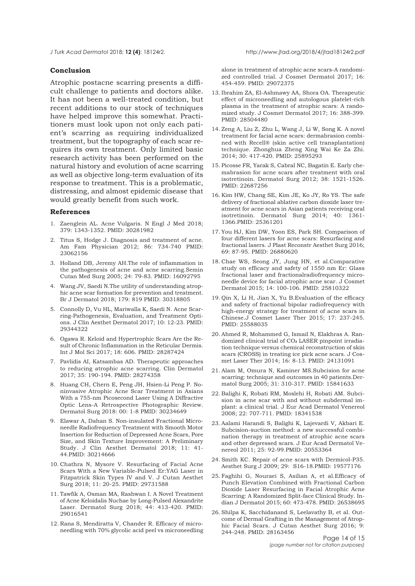<span id="page-13-0"></span>*J Turk Acad Dermato*l 2018; **12 (4)**: 18124r2. http://www.jtad.org/2018/4/jtad18124r2.pdf

### **Conclusion**

Atrophic postacne scarring presents a difficult challenge to patients and doctors alike. It has not been a well-treated condition, but recent additions to our stock of techniques have helped improve this somewhat. Practitioners must look upon not only each patient's scarring as requiring individualized treatment, but the topography of each scar requires its own treatment. Only limited basic research activity has been performed on the natural history and evolution of acne scarring as well as objective long-term evaluation of its response to treatment. This is a problematic, distressing, and almost epidemic disease that would greatly benefit from such work.

#### **References**

- 1. Zaenglein AL. Acne Vulgaris. N Engl J Med 2018; 379: 1343-1352. PMID: 30281982
- 2. Titus S, Hodge J. Diagnosis and treatment of acne. Am Fam Physician 2012; 86: 734-740 PMID: 23062156
- 3. Holland DB, Jeremy AH.The role of inflammation in the pathogenesis of acne and acne scarring.Semin Cutan Med Surg 2005; 24: 79-83. PMID: 16092795
- 4. Wang JV, Saedi N.The utility of understanding atrophic acne scar formation for prevention and treatment. Br J Dermatol 2018; 179: 819 PMID: 30318805
- 5. Connolly D, Vu HL, Mariwalla K, Saedi N. Acne Scarring-Pathogenesis, Evaluation, and Treatment Options. J Clin Aesthet Dermatol 2017; 10: 12-23. PMID: 29344322
- 6. Ogawa R. Keloid and Hypertrophic Scars Are the Result of Chronic Inflammation in the Reticular Dermis. Int J Mol Sci 2017; 18: 606. PMID: 28287424
- 7. Pavlidis AI, Katsambas AD. Therapeutic approaches to reducing atrophic acne scarring. Clin Dermatol 2017; 35: 190-194. PMID: 28274358
- 8. Huang CH, Chern E, Peng JH, Hsien-Li Peng P. Noninvasive Atrophic Acne Scar Treatment in Asians With a 755-nm Picosecond Laser Using A Diffractive Optic Lens-A Retrospective Photographic Review. Dermatol Surg 2018: 00: 1-8 PMID: 30234649
- 9. Elawar A, Dahan S. Non-insulated Fractional Microneedle Radiofrequency Treatment with Smooth Motor Insertion for Reduction of Depressed Acne Scars, Pore Size, and Skin Texture Improvement: A Preliminary Study. J Clin Aesthet Dermatol 2018; 11: 41- 44.PMID: 30214666
- 10. Chathra N, Mysore V. Resurfacing of Facial Acne Scars With a New Variable-Pulsed Er:YAG Laser in Fitzpatrick Skin Types IV and V. J Cutan Aesthet Surg 2018; 11: 20-25. PMID: 29731588
- 11. Tawfik A, Osman MA, Rashwan I. A Novel Treatment of Acne Keloidalis Nuchae by Long-Pulsed Alexandrite Laser. Dermatol Surg 2018; 44: 413-420. PMID: 29016541
- 12. Rana S, Mendiratta V, Chander R. Efficacy of microneedling with 70% glycolic acid peel vs microneedling

alone in treatment of atrophic acne scars-A randomized controlled trial. J Cosmet Dermatol 2017; 16: 454-459. PMID: 29072375

- 13. Ibrahim ZA, El-Ashmawy AA, Shora OA. Therapeutic effect of microneedling and autologous platelet-rich plasma in the treatment of atrophic scars: A randomized study. J Cosmet Dermatol 2017; 16: 388-399. PMID: 28504480
- 14. Zeng A, Liu Z, Zhu L, Wang J, Li W, Song K. A novel treatment for facial acne scars: dermabrasion combined with Recell® (skin active cell transplantation) technique. Zhonghua Zheng Xing Wai Ke Za Zhi. 2014; 30: 417-420. PMID: 25895293
- 15. Picosse FR, Yarak S, Cabral NC, Bagatin E. Early chemabrasion for acne scars after treatment with oral isotretinoin. Dermatol Surg 2012; 38: 1521-1526. PMID: 22687256
- 16. Kim HW, Chang SE, Kim JE, Ko JY, Ro YS. The safe delivery of fractional ablative carbon dioxide laser treatment for acne scars in Asian patients receiving oral isotretinoin. Dermatol Surg 2014; 40: 1361- 1366.PMID: 25361201
- 17. You HJ, Kim DW, Yoon ES, Park SH. Comparison of four different lasers for acne scars: Resurfacing and fractional lasers. J Plast Reconstr Aesthet Surg 2016; 69: 87-95. PMID: 26880620
- 18. Chae WS, Seong JY, Jung HN, et al.Comparative study on efficacy and safety of 1550 nm Er: Glass fractional laser and fractionalradiofrequency microneedle device for facial atrophic acne scar. J Cosmet Dermatol 2015; 14: 100-106. PMID: 25810322
- 19. Qin X, Li H, Jian X, Yu B.Evaluation of the efficacy and safety of fractional bipolar radiofrequency with high-energy strategy for treatment of acne scars in Chinese.J Cosmet Laser Ther 2015; 17: 237-245. PMID: 25588035
- 20. Ahmed R, Mohammed G, Ismail N, Elakhras A. Randomized clinical trial of CO₂ LASER pinpoint irradiation technique versus chemical reconstruction of skin scars (CROSS) in treating ice pick acne scars. J Cosmet Laser Ther 2014; 16: 8-13. PMID: 24131091
- 21. Alam M, Omura N, Kaminer MS.Subcision for acne scarring: technique and outcomes in 40 patients.Dermatol Surg 2005; 31: 310-317. PMID: 15841633
- 22. Balighi K, Robati RM, Moslehi H, Robati AM. Subcision in acne scar with and without subdermal implant: a clinical trial. J Eur Acad Dermatol Venereol 2008; 22: 707-711. PMID: 18341538
- 23. Aalami Harandi S, Balighi K, Lajevardi V, Akbari E. Subcision-suction method: a new successful combination therapy in treatment of atrophic acne scars and other depressed scars. J Eur Acad Dermatol Venereol 2011; 25: 92-99.PMID: 20553364
- 24. Smith KC. Repair of acne scars with Dermicol-P35. Aesthet Surg J 2009; 29: S16-18.PMID: 19577176
- 25. Faghihi G, Nouraei S, Asilian A, et al.Efficacy of Punch Elevation Combined with Fractional Carbon Dioxide Laser Resurfacing in Facial Atrophic Acne Scarring: A Randomized Split-face Clinical Study. Indian J Dermatol 2015; 60: 473-478. PMID: 26538695
- 26. Shilpa K, Sacchidanand S, Leelavathy B, et al. Outcome of Dermal Grafting in the Management of Atrophic Facial Scars. J Cutan Aesthet Surg 2016; 9: 244-248. PMID: 28163456

*(page number not for citation purposes)* Page 14 of 15